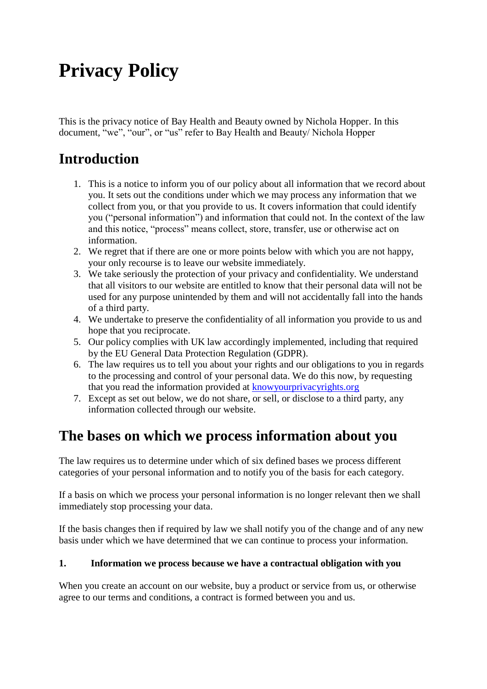# **Privacy Policy**

This is the privacy notice of Bay Health and Beauty owned by Nichola Hopper. In this document, "we", "our", or "us" refer to Bay Health and Beauty/ Nichola Hopper

# **Introduction**

- 1. This is a notice to inform you of our policy about all information that we record about you. It sets out the conditions under which we may process any information that we collect from you, or that you provide to us. It covers information that could identify you ("personal information") and information that could not. In the context of the law and this notice, "process" means collect, store, transfer, use or otherwise act on information.
- 2. We regret that if there are one or more points below with which you are not happy, your only recourse is to leave our website immediately.
- 3. We take seriously the protection of your privacy and confidentiality. We understand that all visitors to our website are entitled to know that their personal data will not be used for any purpose unintended by them and will not accidentally fall into the hands of a third party.
- 4. We undertake to preserve the confidentiality of all information you provide to us and hope that you reciprocate.
- 5. Our policy complies with UK law accordingly implemented, including that required by the EU General Data Protection Regulation (GDPR).
- 6. The law requires us to tell you about your rights and our obligations to you in regards to the processing and control of your personal data. We do this now, by requesting that you read the information provided at [knowyourprivacyrights.org](http://www.knowyourprivacyrights.org/)
- 7. Except as set out below, we do not share, or sell, or disclose to a third party, any information collected through our website.

# **The bases on which we process information about you**

The law requires us to determine under which of six defined bases we process different categories of your personal information and to notify you of the basis for each category.

If a basis on which we process your personal information is no longer relevant then we shall immediately stop processing your data.

If the basis changes then if required by law we shall notify you of the change and of any new basis under which we have determined that we can continue to process your information.

# **1. Information we process because we have a contractual obligation with you**

When you create an account on our website, buy a product or service from us, or otherwise agree to our terms and conditions, a contract is formed between you and us.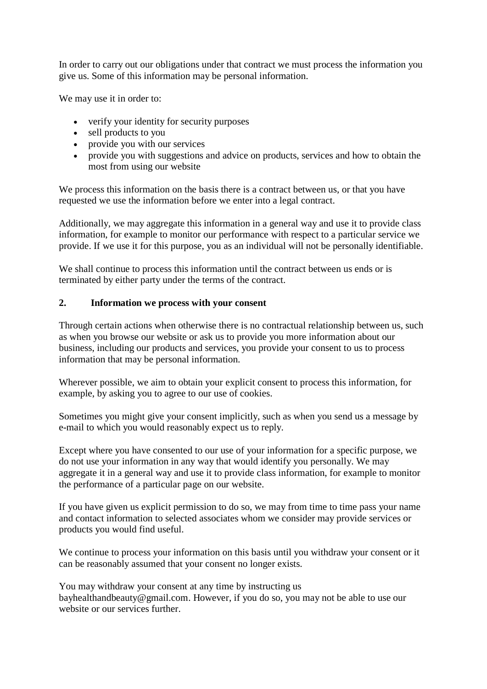In order to carry out our obligations under that contract we must process the information you give us. Some of this information may be personal information.

We may use it in order to:

- verify your identity for security purposes
- sell products to you
- provide you with our services
- provide you with suggestions and advice on products, services and how to obtain the most from using our website

We process this information on the basis there is a contract between us, or that you have requested we use the information before we enter into a legal contract.

Additionally, we may aggregate this information in a general way and use it to provide class information, for example to monitor our performance with respect to a particular service we provide. If we use it for this purpose, you as an individual will not be personally identifiable.

We shall continue to process this information until the contract between us ends or is terminated by either party under the terms of the contract.

#### **2. Information we process with your consent**

Through certain actions when otherwise there is no contractual relationship between us, such as when you browse our website or ask us to provide you more information about our business, including our products and services, you provide your consent to us to process information that may be personal information.

Wherever possible, we aim to obtain your explicit consent to process this information, for example, by asking you to agree to our use of cookies.

Sometimes you might give your consent implicitly, such as when you send us a message by e-mail to which you would reasonably expect us to reply.

Except where you have consented to our use of your information for a specific purpose, we do not use your information in any way that would identify you personally. We may aggregate it in a general way and use it to provide class information, for example to monitor the performance of a particular page on our website.

If you have given us explicit permission to do so, we may from time to time pass your name and contact information to selected associates whom we consider may provide services or products you would find useful.

We continue to process your information on this basis until you withdraw your consent or it can be reasonably assumed that your consent no longer exists.

You may withdraw your consent at any time by instructing us bayhealthandbeauty@gmail.com. However, if you do so, you may not be able to use our website or our services further.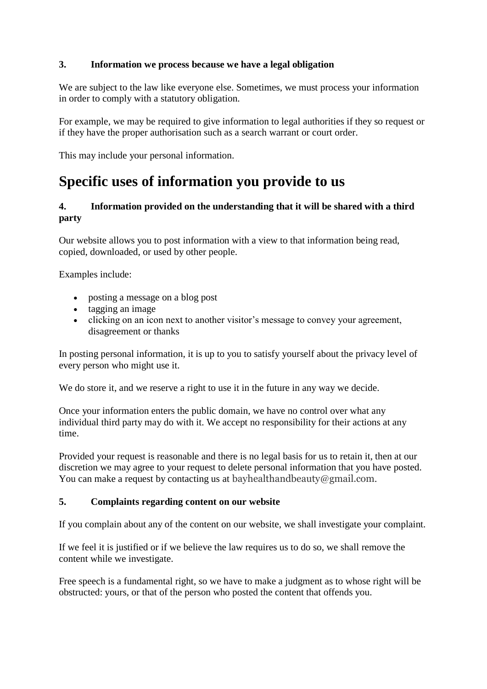# **3. Information we process because we have a legal obligation**

We are subject to the law like everyone else. Sometimes, we must process your information in order to comply with a statutory obligation.

For example, we may be required to give information to legal authorities if they so request or if they have the proper authorisation such as a search warrant or court order.

This may include your personal information.

# **Specific uses of information you provide to us**

# **4. Information provided on the understanding that it will be shared with a third party**

Our website allows you to post information with a view to that information being read, copied, downloaded, or used by other people.

Examples include:

- posting a message on a blog post
- tagging an image
- clicking on an icon next to another visitor's message to convey your agreement, disagreement or thanks

In posting personal information, it is up to you to satisfy yourself about the privacy level of every person who might use it.

We do store it, and we reserve a right to use it in the future in any way we decide.

Once your information enters the public domain, we have no control over what any individual third party may do with it. We accept no responsibility for their actions at any time.

Provided your request is reasonable and there is no legal basis for us to retain it, then at our discretion we may agree to your request to delete personal information that you have posted. You can make a request by contacting us at bayhealthandbeauty@gmail.com.

#### **5. Complaints regarding content on our website**

If you complain about any of the content on our website, we shall investigate your complaint.

If we feel it is justified or if we believe the law requires us to do so, we shall remove the content while we investigate.

Free speech is a fundamental right, so we have to make a judgment as to whose right will be obstructed: yours, or that of the person who posted the content that offends you.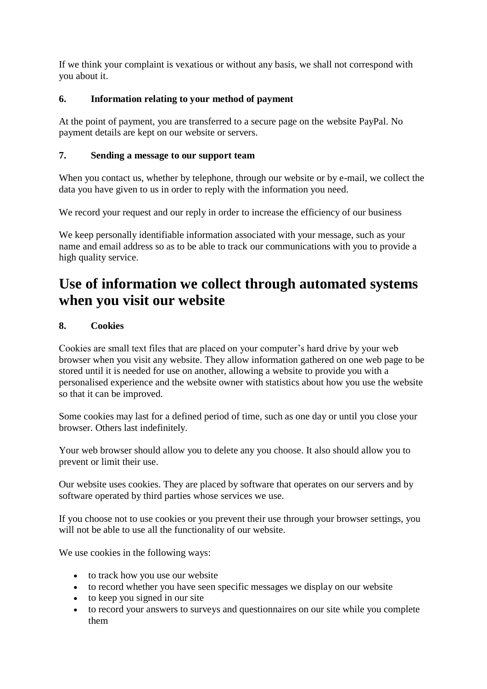If we think your complaint is vexatious or without any basis, we shall not correspond with you about it.

### **6. Information relating to your method of payment**

At the point of payment, you are transferred to a secure page on the website PayPal. No payment details are kept on our website or servers.

### **7. Sending a message to our support team**

When you contact us, whether by telephone, through our website or by e-mail, we collect the data you have given to us in order to reply with the information you need.

We record your request and our reply in order to increase the efficiency of our business

We keep personally identifiable information associated with your message, such as your name and email address so as to be able to track our communications with you to provide a high quality service.

# **Use of information we collect through automated systems when you visit our website**

### **8. Cookies**

Cookies are small text files that are placed on your computer's hard drive by your web browser when you visit any website. They allow information gathered on one web page to be stored until it is needed for use on another, allowing a website to provide you with a personalised experience and the website owner with statistics about how you use the website so that it can be improved.

Some cookies may last for a defined period of time, such as one day or until you close your browser. Others last indefinitely.

Your web browser should allow you to delete any you choose. It also should allow you to prevent or limit their use.

Our website uses cookies. They are placed by software that operates on our servers and by software operated by third parties whose services we use.

If you choose not to use cookies or you prevent their use through your browser settings, you will not be able to use all the functionality of our website.

We use cookies in the following ways:

- to track how you use our website
- to record whether you have seen specific messages we display on our website
- to keep you signed in our site
- to record your answers to surveys and questionnaires on our site while you complete them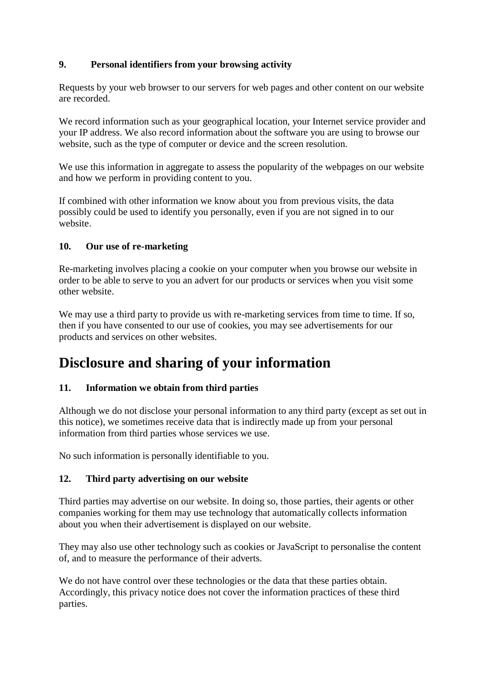# **9. Personal identifiers from your browsing activity**

Requests by your web browser to our servers for web pages and other content on our website are recorded.

We record information such as your geographical location, your Internet service provider and your IP address. We also record information about the software you are using to browse our website, such as the type of computer or device and the screen resolution.

We use this information in aggregate to assess the popularity of the webpages on our website and how we perform in providing content to you.

If combined with other information we know about you from previous visits, the data possibly could be used to identify you personally, even if you are not signed in to our website.

#### **10. Our use of re-marketing**

Re-marketing involves placing a cookie on your computer when you browse our website in order to be able to serve to you an advert for our products or services when you visit some other website.

We may use a third party to provide us with re-marketing services from time to time. If so, then if you have consented to our use of cookies, you may see advertisements for our products and services on other websites.

# **Disclosure and sharing of your information**

#### **11. Information we obtain from third parties**

Although we do not disclose your personal information to any third party (except as set out in this notice), we sometimes receive data that is indirectly made up from your personal information from third parties whose services we use.

No such information is personally identifiable to you.

#### **12. Third party advertising on our website**

Third parties may advertise on our website. In doing so, those parties, their agents or other companies working for them may use technology that automatically collects information about you when their advertisement is displayed on our website.

They may also use other technology such as cookies or JavaScript to personalise the content of, and to measure the performance of their adverts.

We do not have control over these technologies or the data that these parties obtain. Accordingly, this privacy notice does not cover the information practices of these third parties.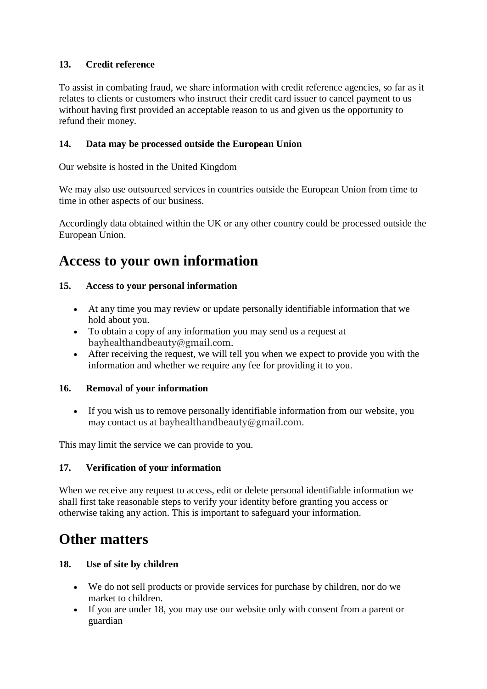# **13. Credit reference**

To assist in combating fraud, we share information with credit reference agencies, so far as it relates to clients or customers who instruct their credit card issuer to cancel payment to us without having first provided an acceptable reason to us and given us the opportunity to refund their money.

# **14. Data may be processed outside the European Union**

Our website is hosted in the United Kingdom

We may also use outsourced services in countries outside the European Union from time to time in other aspects of our business.

Accordingly data obtained within the UK or any other country could be processed outside the European Union.

# **Access to your own information**

### **15. Access to your personal information**

- At any time you may review or update personally identifiable information that we hold about you.
- To obtain a copy of any information you may send us a request at bayhealthandbeauty@gmail.com.
- After receiving the request, we will tell you when we expect to provide you with the information and whether we require any fee for providing it to you.

# **16. Removal of your information**

 If you wish us to remove personally identifiable information from our website, you may contact us at bayhealthandbeauty@gmail.com.

This may limit the service we can provide to you.

# **17. Verification of your information**

When we receive any request to access, edit or delete personal identifiable information we shall first take reasonable steps to verify your identity before granting you access or otherwise taking any action. This is important to safeguard your information.

# **Other matters**

# **18. Use of site by children**

- We do not sell products or provide services for purchase by children, nor do we market to children.
- If you are under 18, you may use our website only with consent from a parent or guardian